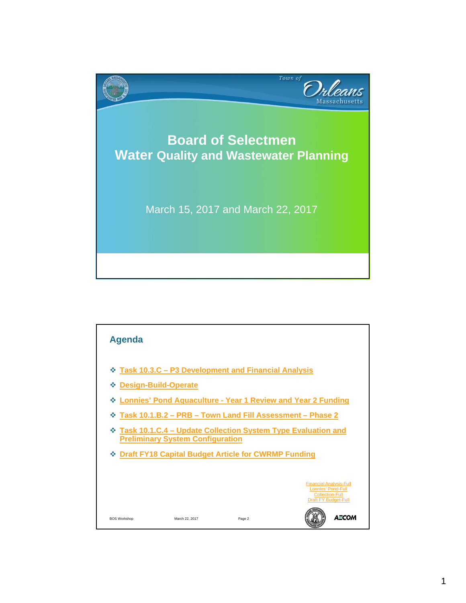

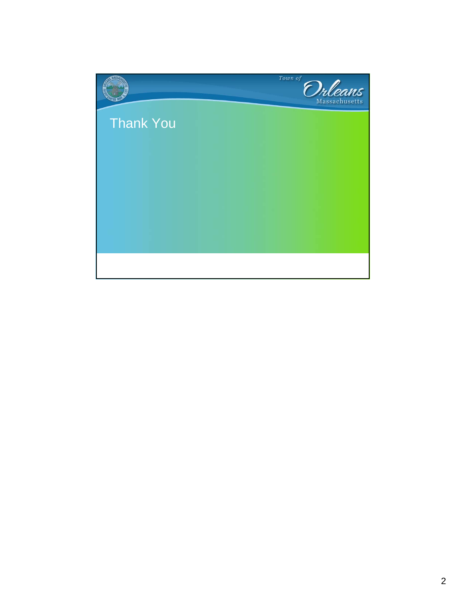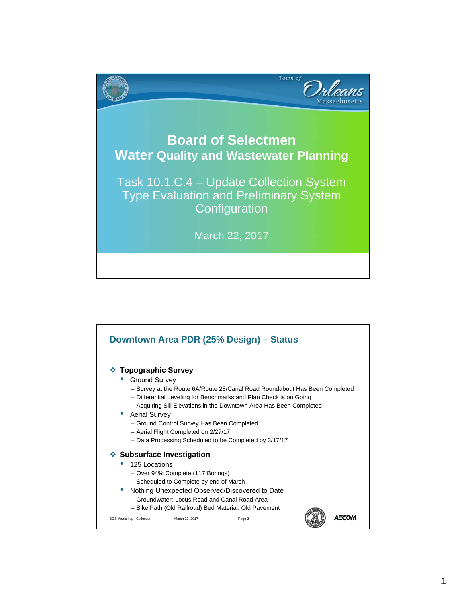

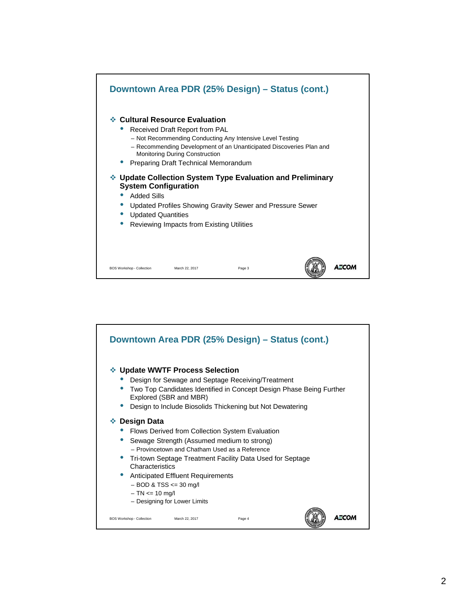

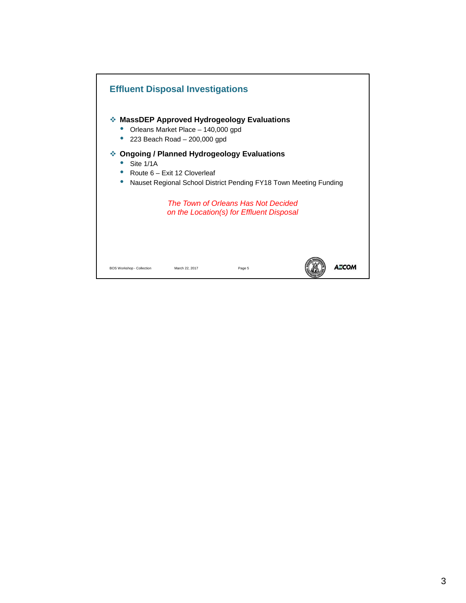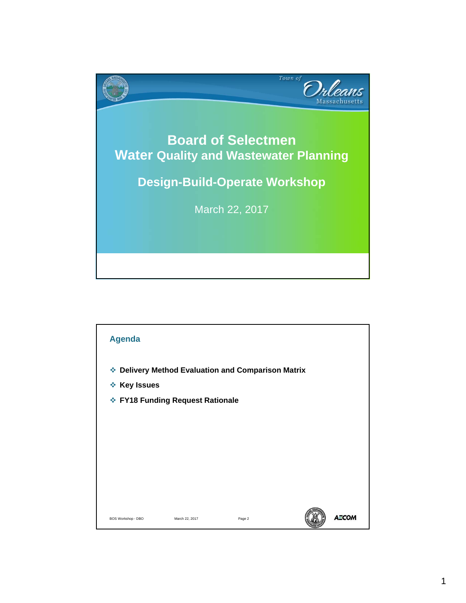

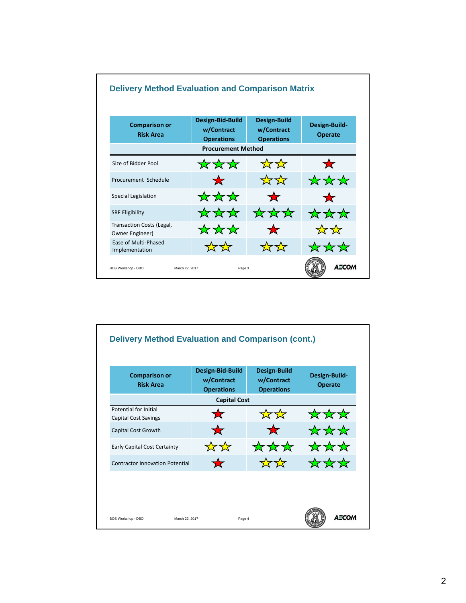

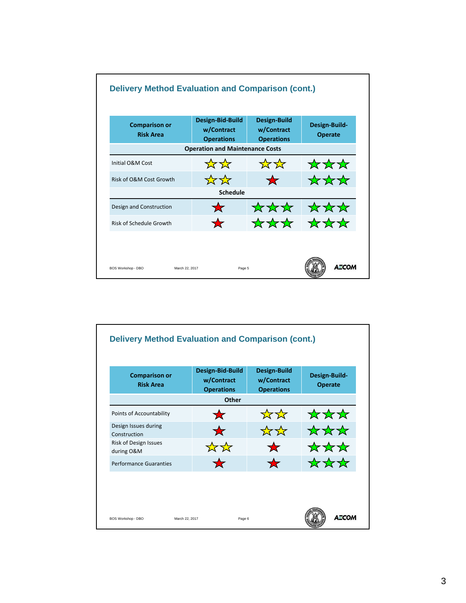

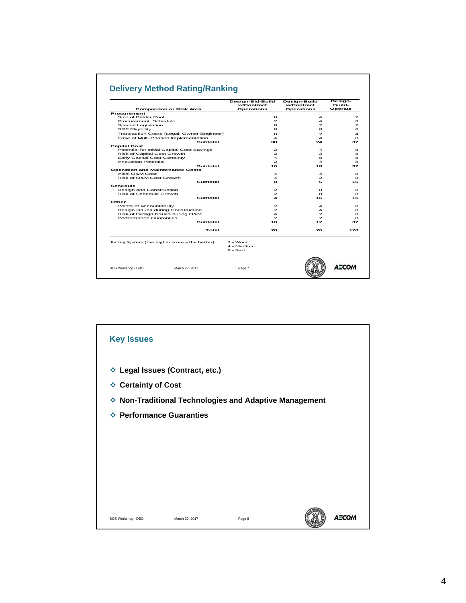## **Delivery Method Rating/Ranking**

|                                                            | Design-Bid-Build<br>w/Contract |                                                    | Design-Build<br>w/Contract | Design-<br>Build- |
|------------------------------------------------------------|--------------------------------|----------------------------------------------------|----------------------------|-------------------|
| Comparison or Risk Area<br><b>Procurement</b>              | <b>Operations</b>              |                                                    | <b>Operations</b>          | Operate           |
| Size of Bidder Pool                                        |                                | 8                                                  | 4                          | $\mathbf{z}$      |
| Procurement Schedule                                       |                                | $\mathfrak{p}$                                     | $\overline{\mathbf{A}}$    | я                 |
| Special Legislation                                        |                                | 8                                                  | $\mathcal{P}$              | $\mathbf{z}$      |
| <b>SRF Eligibility</b>                                     |                                | 8                                                  | 8                          | 8                 |
| Transaction Costs (Legal, Owner Engineer)                  |                                |                                                    | $\mathbf{z}$               | 4                 |
|                                                            |                                | 8<br>$\overline{\mathbf{A}}$                       | $\boldsymbol{A}$           | 8                 |
| Ease of Multi-Phased Implementation                        |                                |                                                    |                            |                   |
| Subtotal                                                   |                                | 38                                                 | 24                         | 32                |
| <b>Capital Cost</b>                                        |                                | $\mathfrak{p}$                                     | $\overline{\mathbf{A}}$    |                   |
| Potential for Initial Capital Cost Savings                 |                                | $\mathbf{z}$                                       |                            | 8<br>8            |
| Risk of Capital Cost Growth                                |                                |                                                    | $\mathbf{z}$               |                   |
| Early Capital Cost Certainty                               |                                | $\overline{\mathbf{A}}$<br>$\mathbf{z}$            | 8                          | 8                 |
| Innovation Potential                                       |                                |                                                    | $\overline{\mathbf{A}}$    | 8                 |
| Subtotal                                                   |                                | 10                                                 | 18                         | 32                |
| <b>Operation and Maintenance Costs</b><br>Initial O&M Cost |                                |                                                    | $\overline{\mathbf{A}}$    | 8                 |
| Risk of O&M Cost Growth                                    |                                | $\overline{\mathbf{4}}$<br>$\overline{\mathbf{4}}$ | $\mathcal{P}$              | я                 |
|                                                            |                                |                                                    |                            |                   |
| Subtotal                                                   |                                | 8                                                  | 6                          | 16                |
| Schedule                                                   |                                |                                                    |                            |                   |
| Design and Construction                                    |                                | $\mathcal{P}$                                      | 8                          | 8                 |
| Risk of Schedule Growth                                    |                                | $\mathcal{P}$                                      | 8                          | 8                 |
| Subtotal                                                   |                                | 4                                                  | 16                         | 16                |
| Other                                                      |                                |                                                    |                            |                   |
| Points of Accountability                                   |                                | $\mathbf{z}$                                       | $\overline{\mathbf{A}}$    | 8                 |
| Design Issues during Construction                          |                                | $\mathbf{z}$                                       | $\overline{\mathbf{A}}$    | 8                 |
| Risk of Design Issues during O&M                           |                                | $\overline{\mathbf{A}}$                            | $\mathbf{z}$               | 8                 |
| Performance Guaranties                                     |                                | $\mathcal{P}$                                      | $\mathcal{P}$              | 8                 |
| Subtotal                                                   |                                | 10                                                 | 12 <sub>1</sub>            | 32                |
|                                                            | Total                          | 70                                                 | 76                         | 128               |
|                                                            |                                |                                                    |                            |                   |
| Rating System (the higher score = the better)              | $2$ = Worst                    |                                                    |                            |                   |
|                                                            | $4 \equiv \text{Medim}$        |                                                    |                            |                   |
|                                                            | $8 = Best$                     |                                                    |                            |                   |
|                                                            |                                |                                                    |                            |                   |
| March 22, 2017                                             |                                |                                                    |                            | A CO              |
| BOS Workshop - DBO                                         | Page 7                         |                                                    |                            |                   |

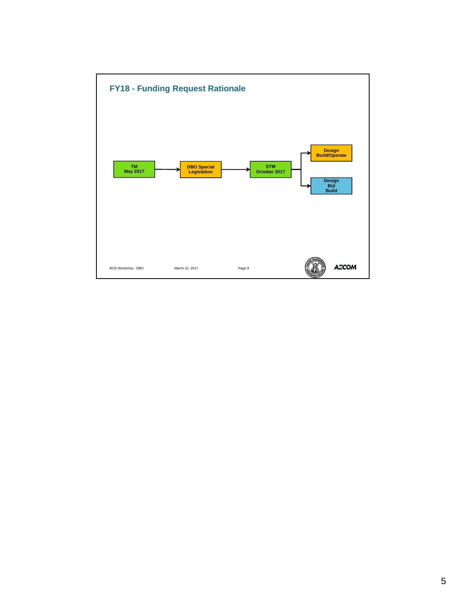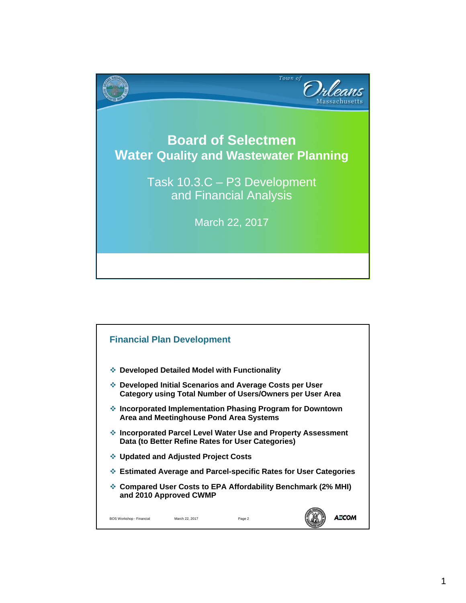

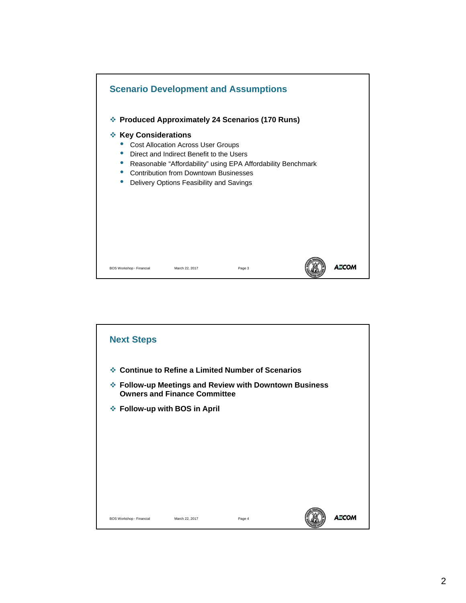

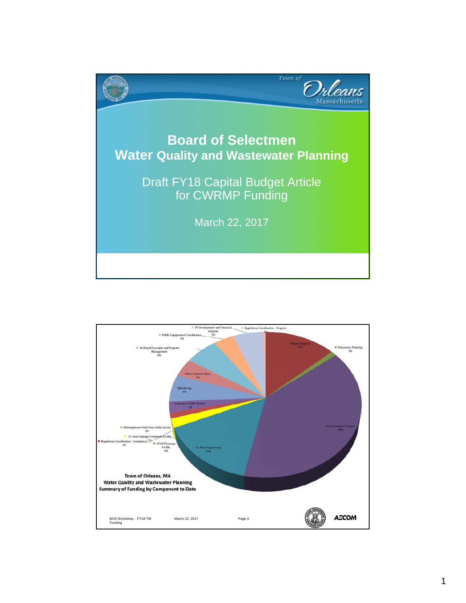

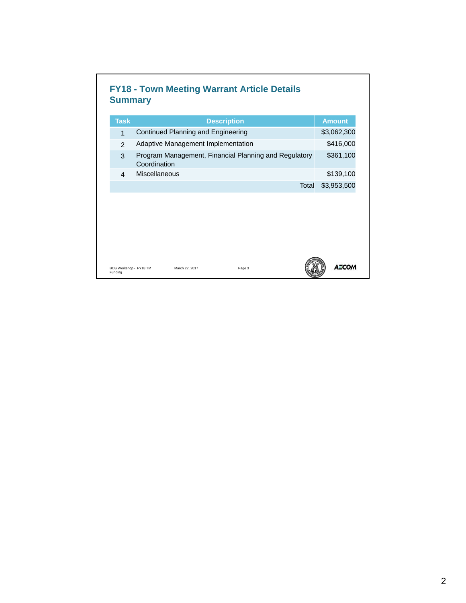| <b>Task</b>    | <b>Description</b>                                                    | <b>Amount</b> |
|----------------|-----------------------------------------------------------------------|---------------|
| $\mathbf{1}$   | Continued Planning and Engineering                                    | \$3,062,300   |
| $\mathcal{P}$  | Adaptive Management Implementation                                    | \$416,000     |
| 3              | Program Management, Financial Planning and Regulatory<br>Coordination | \$361,100     |
| $\overline{4}$ | Miscellaneous                                                         | \$139,100     |
|                | Total                                                                 | \$3,953,500   |
|                |                                                                       |               |
|                |                                                                       |               |

л

٦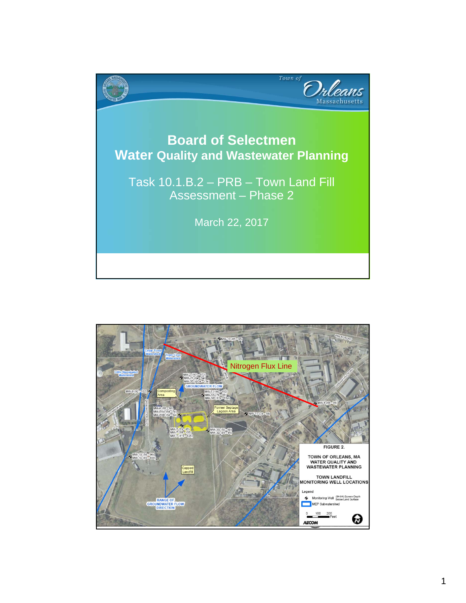

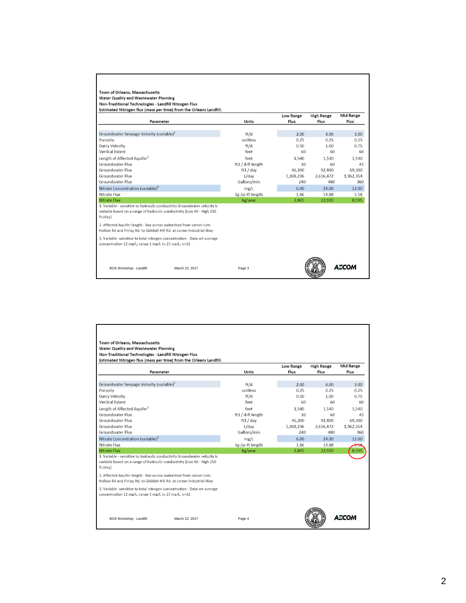| Parameter                                                                                                                                                                                                                              | Units             | Low Range<br>Flux | <b>High Range</b><br>Flux | <b>Mid Range</b><br>Flux |
|----------------------------------------------------------------------------------------------------------------------------------------------------------------------------------------------------------------------------------------|-------------------|-------------------|---------------------------|--------------------------|
| Groundwater Seepage Velocity (variable) <sup>1</sup>                                                                                                                                                                                   | ft/d              | 2.00              | 4.00                      | 3.00                     |
| Porosity                                                                                                                                                                                                                               | unitless          | 0.25              | 0.25                      | 0.25                     |
| Darcy Velocity                                                                                                                                                                                                                         | ft/d              | 0.50              | 1.00                      | 0.75                     |
| <b>Vertical Extent</b>                                                                                                                                                                                                                 | feet              | 60                | 60                        | 60                       |
| Length of Affected Aquifer <sup>2</sup>                                                                                                                                                                                                | feet              | 1,540             | 1,540                     | 1,540                    |
| Groundwater Flux                                                                                                                                                                                                                       | ft3 / d-ft length | 30                | 60                        | 45                       |
| Groundwater Flux                                                                                                                                                                                                                       | ft3 / day         | 46,200            | 92,400                    | 69,300                   |
| Groundwater Flux                                                                                                                                                                                                                       | $L$ /day          | 1,308,236         | 2,616,472                 | 1,962,354                |
| Groundwater Flux                                                                                                                                                                                                                       | Gallons/min       | 240               | 480                       | 360                      |
| Nitrate Concentration (variable) <sup>3</sup>                                                                                                                                                                                          | mg/L              | 6.00              | 24.00                     | 12.00                    |
| Nitrate Flux                                                                                                                                                                                                                           | kg /yr-ft length  | 1.86              | 14.88                     | 5.58                     |
| <b>Nitrate Flux</b>                                                                                                                                                                                                                    | kg/year           | 2.865             | 22.920                    | 8.595                    |
| 1. Variable - sensitive to hydraulic conductivity Groundwater velocity is<br>variable based on a range of hydraulic conductivity (Low 60 - High 250<br>ft./day)<br>2. Affected Aquifer length - line across watershed from corner Lots |                   |                   |                           |                          |
| Hollow Rd and Finlay Rd. to Giddiah Hill Rd. at corner Industrial Way                                                                                                                                                                  |                   |                   |                           |                          |
| 3. Variable -sensitive to total nitrogen concentration - Data set average<br>concentration 12 mg/L, range 1 mg/L to 27 mg/L, n=32                                                                                                      |                   |                   |                           |                          |

| Estimated Nitrogen flux (mass per time) from the Orleans Landfill.<br>Parameter                                                                                                                                                                                                                                 | Units             | <b>Low Range</b><br>Flux | <b>High Range</b><br>Flux | <b>Mid Range</b><br>Flux |
|-----------------------------------------------------------------------------------------------------------------------------------------------------------------------------------------------------------------------------------------------------------------------------------------------------------------|-------------------|--------------------------|---------------------------|--------------------------|
| Groundwater Seepage Velocity (variable) <sup>1</sup>                                                                                                                                                                                                                                                            | ft/d              | 2.00                     | 4.00                      | 3.00                     |
| Porosity                                                                                                                                                                                                                                                                                                        | unitless          | 0.25                     | 0.25                      | 0.25                     |
| Darcy Velocity                                                                                                                                                                                                                                                                                                  | ft/d              | 0.50                     | 1.00                      | 0.75                     |
| <b>Vertical Extent</b>                                                                                                                                                                                                                                                                                          | feet              | 60                       | 60                        | 60                       |
| Length of Affected Aquifer <sup>2</sup>                                                                                                                                                                                                                                                                         | feet              | 1,540                    | 1,540                     | 1,540                    |
| Groundwater Flux                                                                                                                                                                                                                                                                                                | ft3 / d-ft length | 30                       | 60                        | 45                       |
| Groundwater Flux                                                                                                                                                                                                                                                                                                | ft3 / day         | 46,200                   | 92,400                    | 69,300                   |
| Groundwater Flux                                                                                                                                                                                                                                                                                                | $L$ /day          | 1,308,236                | 2,616,472                 | 1,962,354                |
| Groundwater Flux                                                                                                                                                                                                                                                                                                | Gallons/min       | 240                      | 480                       | 360                      |
| Nitrate Concentration (variable) <sup>3</sup>                                                                                                                                                                                                                                                                   | mg/L              | 6.00                     | 24.00                     | 12.00                    |
| Nitrate Flux                                                                                                                                                                                                                                                                                                    | kg /yr-ft length  | 1.86                     | 14.88                     |                          |
| <b>Nitrate Flux</b>                                                                                                                                                                                                                                                                                             | kg/year           | 2,865                    | 22,920                    | 8,59                     |
| 1. Variable - sensitive to hydraulic conductivity Groundwater velocity is<br>variable based on a range of hydraulic conductivity (Low 60 - High 250<br>ft./day)<br>2. Affected Aquifer length - line across watershed from corner Lots<br>Hollow Rd and Finlay Rd. to Giddiah Hill Rd. at corner Industrial Way |                   |                          |                           |                          |
| 3. Variable -sensitive to total nitrogen concentration - Data set average<br>concentration 12 mg/L, range 1 mg/L to 27 mg/L, n=32                                                                                                                                                                               |                   |                          |                           |                          |
|                                                                                                                                                                                                                                                                                                                 |                   |                          |                           |                          |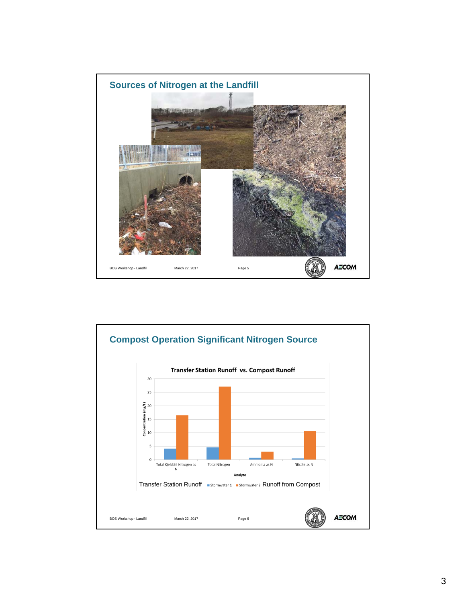

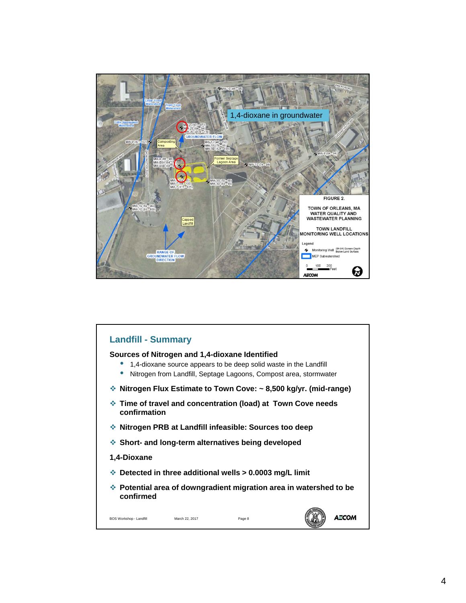

## **Landfill - Summary Sources of Nitrogen and 1,4-dioxane Identified** • 1,4-dioxane source appears to be deep solid waste in the Landfill • Nitrogen from Landfill, Septage Lagoons, Compost area, stormwater **Nitrogen Flux Estimate to Town Cove: ~ 8,500 kg/yr. (mid-range) Time of travel and concentration (load) at Town Cove needs confirmation Nitrogen PRB at Landfill infeasible: Sources too deep Short- and long-term alternatives being developed 1,4-Dioxane Detected in three additional wells > 0.0003 mg/L limit Potential area of downgradient migration area in watershed to be confirmed AECOM** BOS Workshop - Landfill March 22, 2017 Page 8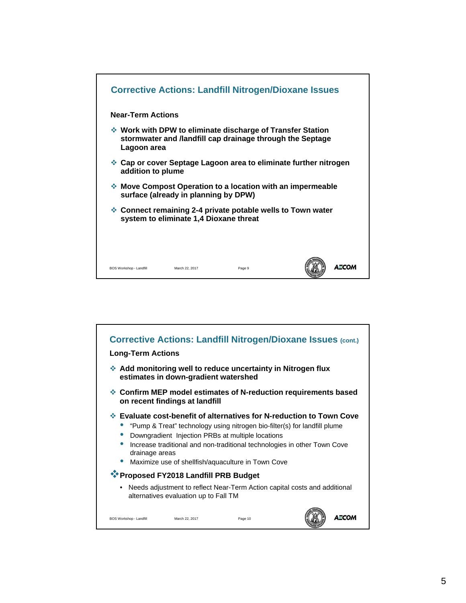

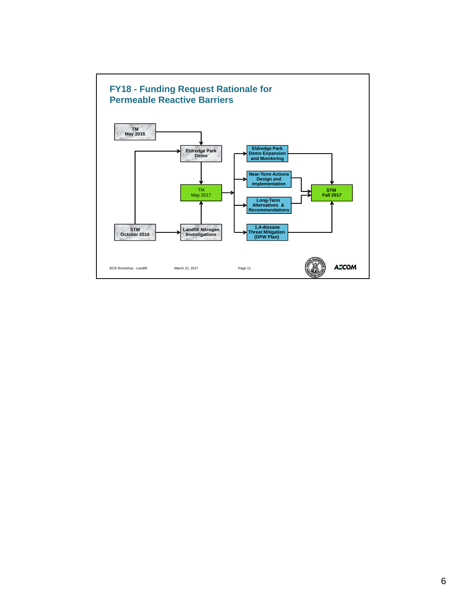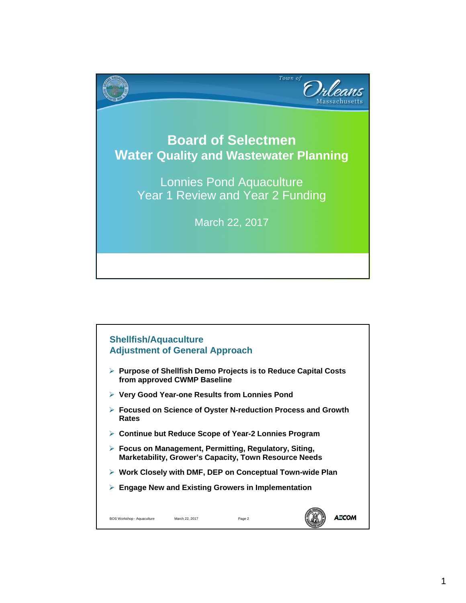